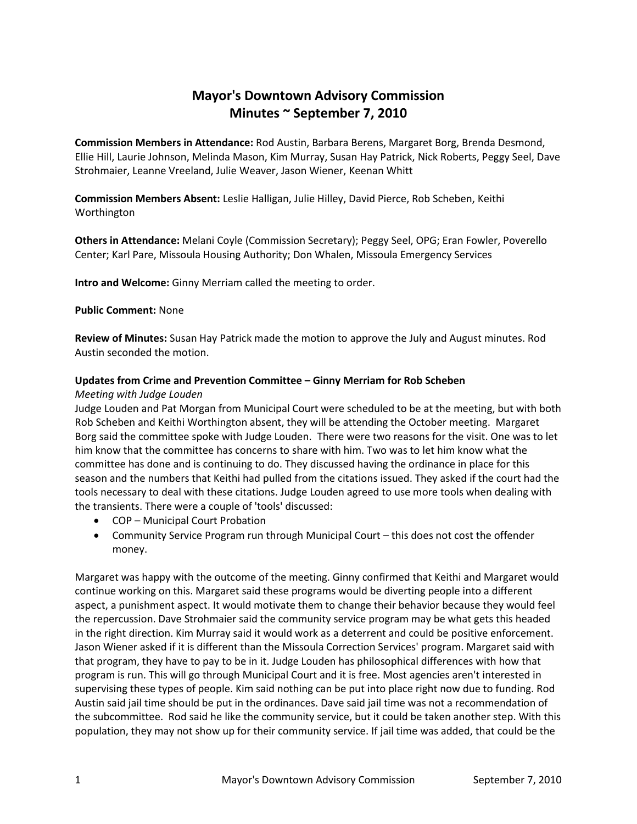# **Mayor's Downtown Advisory Commission Minutes ~ September 7, 2010**

**Commission Members in Attendance:** Rod Austin, Barbara Berens, Margaret Borg, Brenda Desmond, Ellie Hill, Laurie Johnson, Melinda Mason, Kim Murray, Susan Hay Patrick, Nick Roberts, Peggy Seel, Dave Strohmaier, Leanne Vreeland, Julie Weaver, Jason Wiener, Keenan Whitt

**Commission Members Absent:** Leslie Halligan, Julie Hilley, David Pierce, Rob Scheben, Keithi Worthington

**Others in Attendance:** Melani Coyle (Commission Secretary); Peggy Seel, OPG; Eran Fowler, Poverello Center; Karl Pare, Missoula Housing Authority; Don Whalen, Missoula Emergency Services

**Intro and Welcome:** Ginny Merriam called the meeting to order.

# **Public Comment:** None

**Review of Minutes:** Susan Hay Patrick made the motion to approve the July and August minutes. Rod Austin seconded the motion.

# **Updates from Crime and Prevention Committee – Ginny Merriam for Rob Scheben**

# *Meeting with Judge Louden*

Judge Louden and Pat Morgan from Municipal Court were scheduled to be at the meeting, but with both Rob Scheben and Keithi Worthington absent, they will be attending the October meeting. Margaret Borg said the committee spoke with Judge Louden. There were two reasons for the visit. One was to let him know that the committee has concerns to share with him. Two was to let him know what the committee has done and is continuing to do. They discussed having the ordinance in place for this season and the numbers that Keithi had pulled from the citations issued. They asked if the court had the tools necessary to deal with these citations. Judge Louden agreed to use more tools when dealing with the transients. There were a couple of 'tools' discussed:

- COP Municipal Court Probation
- Community Service Program run through Municipal Court this does not cost the offender money.

Margaret was happy with the outcome of the meeting. Ginny confirmed that Keithi and Margaret would continue working on this. Margaret said these programs would be diverting people into a different aspect, a punishment aspect. It would motivate them to change their behavior because they would feel the repercussion. Dave Strohmaier said the community service program may be what gets this headed in the right direction. Kim Murray said it would work as a deterrent and could be positive enforcement. Jason Wiener asked if it is different than the Missoula Correction Services' program. Margaret said with that program, they have to pay to be in it. Judge Louden has philosophical differences with how that program is run. This will go through Municipal Court and it is free. Most agencies aren't interested in supervising these types of people. Kim said nothing can be put into place right now due to funding. Rod Austin said jail time should be put in the ordinances. Dave said jail time was not a recommendation of the subcommittee. Rod said he like the community service, but it could be taken another step. With this population, they may not show up for their community service. If jail time was added, that could be the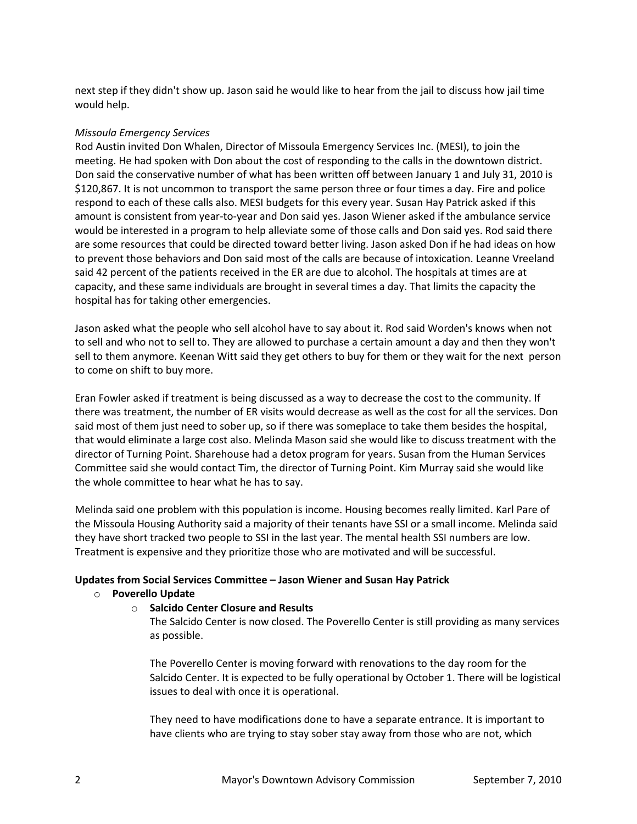next step if they didn't show up. Jason said he would like to hear from the jail to discuss how jail time would help.

## *Missoula Emergency Services*

Rod Austin invited Don Whalen, Director of Missoula Emergency Services Inc. (MESI), to join the meeting. He had spoken with Don about the cost of responding to the calls in the downtown district. Don said the conservative number of what has been written off between January 1 and July 31, 2010 is \$120,867. It is not uncommon to transport the same person three or four times a day. Fire and police respond to each of these calls also. MESI budgets for this every year. Susan Hay Patrick asked if this amount is consistent from year-to-year and Don said yes. Jason Wiener asked if the ambulance service would be interested in a program to help alleviate some of those calls and Don said yes. Rod said there are some resources that could be directed toward better living. Jason asked Don if he had ideas on how to prevent those behaviors and Don said most of the calls are because of intoxication. Leanne Vreeland said 42 percent of the patients received in the ER are due to alcohol. The hospitals at times are at capacity, and these same individuals are brought in several times a day. That limits the capacity the hospital has for taking other emergencies.

Jason asked what the people who sell alcohol have to say about it. Rod said Worden's knows when not to sell and who not to sell to. They are allowed to purchase a certain amount a day and then they won't sell to them anymore. Keenan Witt said they get others to buy for them or they wait for the next person to come on shift to buy more.

Eran Fowler asked if treatment is being discussed as a way to decrease the cost to the community. If there was treatment, the number of ER visits would decrease as well as the cost for all the services. Don said most of them just need to sober up, so if there was someplace to take them besides the hospital, that would eliminate a large cost also. Melinda Mason said she would like to discuss treatment with the director of Turning Point. Sharehouse had a detox program for years. Susan from the Human Services Committee said she would contact Tim, the director of Turning Point. Kim Murray said she would like the whole committee to hear what he has to say.

Melinda said one problem with this population is income. Housing becomes really limited. Karl Pare of the Missoula Housing Authority said a majority of their tenants have SSI or a small income. Melinda said they have short tracked two people to SSI in the last year. The mental health SSI numbers are low. Treatment is expensive and they prioritize those who are motivated and will be successful.

### **Updates from Social Services Committee – Jason Wiener and Susan Hay Patrick**

### o **Poverello Update**

### o **Salcido Center Closure and Results**

The Salcido Center is now closed. The Poverello Center is still providing as many services as possible.

The Poverello Center is moving forward with renovations to the day room for the Salcido Center. It is expected to be fully operational by October 1. There will be logistical issues to deal with once it is operational.

They need to have modifications done to have a separate entrance. It is important to have clients who are trying to stay sober stay away from those who are not, which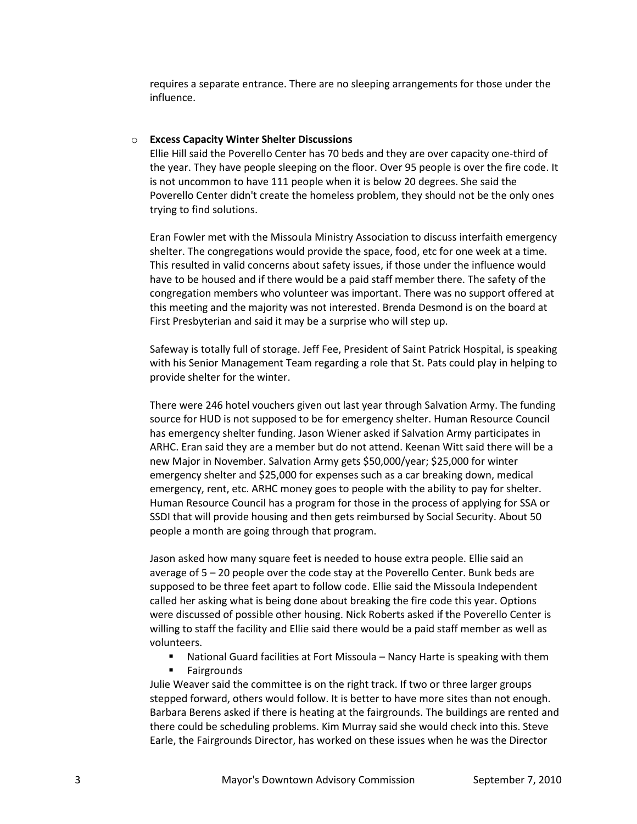requires a separate entrance. There are no sleeping arrangements for those under the influence.

#### o **Excess Capacity Winter Shelter Discussions**

Ellie Hill said the Poverello Center has 70 beds and they are over capacity one-third of the year. They have people sleeping on the floor. Over 95 people is over the fire code. It is not uncommon to have 111 people when it is below 20 degrees. She said the Poverello Center didn't create the homeless problem, they should not be the only ones trying to find solutions.

Eran Fowler met with the Missoula Ministry Association to discuss interfaith emergency shelter. The congregations would provide the space, food, etc for one week at a time. This resulted in valid concerns about safety issues, if those under the influence would have to be housed and if there would be a paid staff member there. The safety of the congregation members who volunteer was important. There was no support offered at this meeting and the majority was not interested. Brenda Desmond is on the board at First Presbyterian and said it may be a surprise who will step up.

Safeway is totally full of storage. Jeff Fee, President of Saint Patrick Hospital, is speaking with his Senior Management Team regarding a role that St. Pats could play in helping to provide shelter for the winter.

There were 246 hotel vouchers given out last year through Salvation Army. The funding source for HUD is not supposed to be for emergency shelter. Human Resource Council has emergency shelter funding. Jason Wiener asked if Salvation Army participates in ARHC. Eran said they are a member but do not attend. Keenan Witt said there will be a new Major in November. Salvation Army gets \$50,000/year; \$25,000 for winter emergency shelter and \$25,000 for expenses such as a car breaking down, medical emergency, rent, etc. ARHC money goes to people with the ability to pay for shelter. Human Resource Council has a program for those in the process of applying for SSA or SSDI that will provide housing and then gets reimbursed by Social Security. About 50 people a month are going through that program.

Jason asked how many square feet is needed to house extra people. Ellie said an average of 5 – 20 people over the code stay at the Poverello Center. Bunk beds are supposed to be three feet apart to follow code. Ellie said the Missoula Independent called her asking what is being done about breaking the fire code this year. Options were discussed of possible other housing. Nick Roberts asked if the Poverello Center is willing to staff the facility and Ellie said there would be a paid staff member as well as volunteers.

- National Guard facilities at Fort Missoula Nancy Harte is speaking with them
- **Fairgrounds**

Julie Weaver said the committee is on the right track. If two or three larger groups stepped forward, others would follow. It is better to have more sites than not enough. Barbara Berens asked if there is heating at the fairgrounds. The buildings are rented and there could be scheduling problems. Kim Murray said she would check into this. Steve Earle, the Fairgrounds Director, has worked on these issues when he was the Director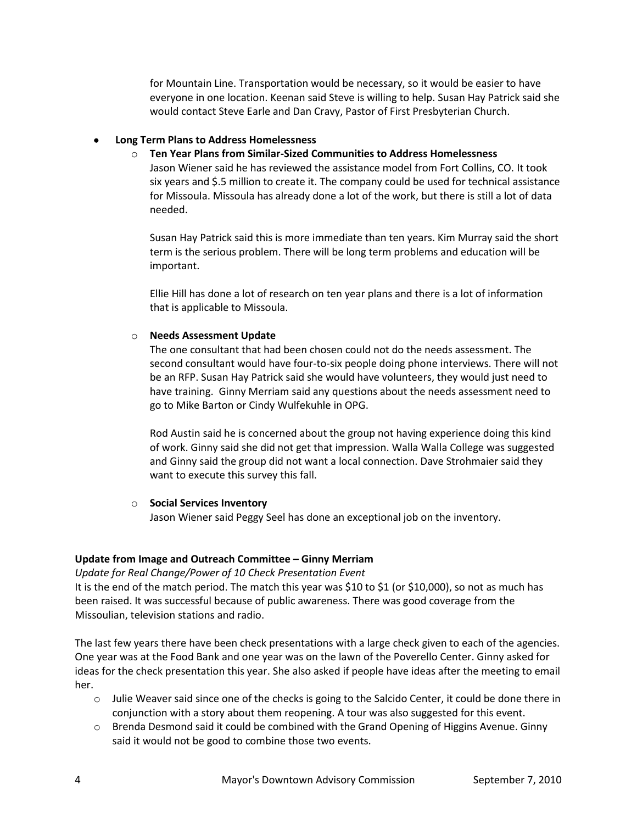for Mountain Line. Transportation would be necessary, so it would be easier to have everyone in one location. Keenan said Steve is willing to help. Susan Hay Patrick said she would contact Steve Earle and Dan Cravy, Pastor of First Presbyterian Church.

### **Long Term Plans to Address Homelessness**

o **Ten Year Plans from Similar-Sized Communities to Address Homelessness**

Jason Wiener said he has reviewed the assistance model from Fort Collins, CO. It took six years and \$.5 million to create it. The company could be used for technical assistance for Missoula. Missoula has already done a lot of the work, but there is still a lot of data needed.

Susan Hay Patrick said this is more immediate than ten years. Kim Murray said the short term is the serious problem. There will be long term problems and education will be important.

Ellie Hill has done a lot of research on ten year plans and there is a lot of information that is applicable to Missoula.

## o **Needs Assessment Update**

The one consultant that had been chosen could not do the needs assessment. The second consultant would have four-to-six people doing phone interviews. There will not be an RFP. Susan Hay Patrick said she would have volunteers, they would just need to have training. Ginny Merriam said any questions about the needs assessment need to go to Mike Barton or Cindy Wulfekuhle in OPG.

Rod Austin said he is concerned about the group not having experience doing this kind of work. Ginny said she did not get that impression. Walla Walla College was suggested and Ginny said the group did not want a local connection. Dave Strohmaier said they want to execute this survey this fall.

### o **Social Services Inventory**

Jason Wiener said Peggy Seel has done an exceptional job on the inventory.

# **Update from Image and Outreach Committee – Ginny Merriam**

*Update for Real Change/Power of 10 Check Presentation Event*

It is the end of the match period. The match this year was \$10 to \$1 (or \$10,000), so not as much has been raised. It was successful because of public awareness. There was good coverage from the Missoulian, television stations and radio.

The last few years there have been check presentations with a large check given to each of the agencies. One year was at the Food Bank and one year was on the lawn of the Poverello Center. Ginny asked for ideas for the check presentation this year. She also asked if people have ideas after the meeting to email her.

- $\circ$  Julie Weaver said since one of the checks is going to the Salcido Center, it could be done there in conjunction with a story about them reopening. A tour was also suggested for this event.
- o Brenda Desmond said it could be combined with the Grand Opening of Higgins Avenue. Ginny said it would not be good to combine those two events.